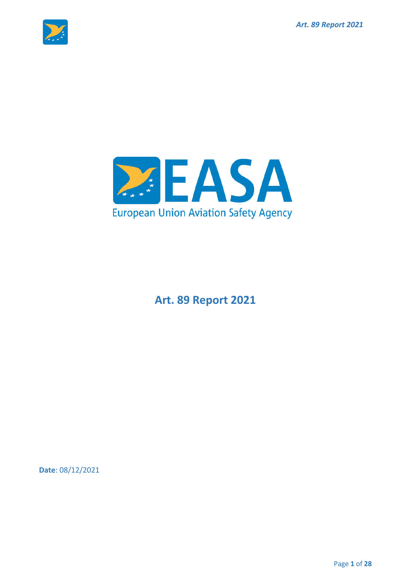



**Art. 89 Report 2021**

**Date**: 08/12/2021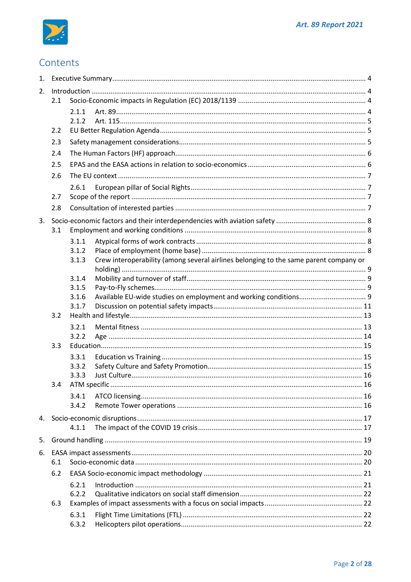

## Contents

| 2.  |     |                                                                                                |  |  |  |  |
|-----|-----|------------------------------------------------------------------------------------------------|--|--|--|--|
| 2.1 |     |                                                                                                |  |  |  |  |
|     |     | 2.1.1                                                                                          |  |  |  |  |
|     |     | 2.1.2                                                                                          |  |  |  |  |
|     | 2.2 |                                                                                                |  |  |  |  |
|     | 2.3 |                                                                                                |  |  |  |  |
|     | 2.4 |                                                                                                |  |  |  |  |
|     | 2.5 |                                                                                                |  |  |  |  |
|     | 2.6 |                                                                                                |  |  |  |  |
|     |     | 2.6.1                                                                                          |  |  |  |  |
|     | 2.7 |                                                                                                |  |  |  |  |
|     | 2.8 |                                                                                                |  |  |  |  |
| 3.  |     |                                                                                                |  |  |  |  |
|     | 3.1 |                                                                                                |  |  |  |  |
|     |     | 3.1.1                                                                                          |  |  |  |  |
|     |     | 3.1.2                                                                                          |  |  |  |  |
|     |     | Crew interoperability (among several airlines belonging to the same parent company or<br>3.1.3 |  |  |  |  |
|     |     |                                                                                                |  |  |  |  |
|     |     | 3.1.4<br>3.1.5                                                                                 |  |  |  |  |
|     |     | 3.1.6                                                                                          |  |  |  |  |
|     |     | 3.1.7                                                                                          |  |  |  |  |
|     | 3.2 |                                                                                                |  |  |  |  |
|     |     | 3.2.1                                                                                          |  |  |  |  |
|     |     | 3.2.2                                                                                          |  |  |  |  |
|     | 3.3 |                                                                                                |  |  |  |  |
|     |     | 3.3.1                                                                                          |  |  |  |  |
|     |     | 3.3.2                                                                                          |  |  |  |  |
|     |     | 3.3.3                                                                                          |  |  |  |  |
|     |     |                                                                                                |  |  |  |  |
|     |     | 3.4.1                                                                                          |  |  |  |  |
|     |     | 3.4.2                                                                                          |  |  |  |  |
|     |     |                                                                                                |  |  |  |  |
|     |     | 4.1.1                                                                                          |  |  |  |  |
| 5.  |     |                                                                                                |  |  |  |  |
|     |     |                                                                                                |  |  |  |  |
|     | 6.1 |                                                                                                |  |  |  |  |
|     | 6.2 |                                                                                                |  |  |  |  |
|     |     | 6.2.1                                                                                          |  |  |  |  |
|     |     | 6.2.2                                                                                          |  |  |  |  |
|     | 6.3 |                                                                                                |  |  |  |  |
|     |     | 6.3.1                                                                                          |  |  |  |  |
|     |     | 6.3.2                                                                                          |  |  |  |  |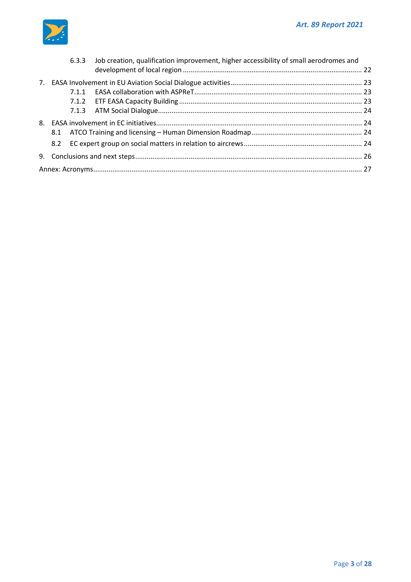

|  |  | 6.3.3 Job creation, qualification improvement, higher accessibility of small aerodromes and |  |  |  |  |
|--|--|---------------------------------------------------------------------------------------------|--|--|--|--|
|  |  |                                                                                             |  |  |  |  |
|  |  |                                                                                             |  |  |  |  |
|  |  |                                                                                             |  |  |  |  |
|  |  |                                                                                             |  |  |  |  |
|  |  |                                                                                             |  |  |  |  |
|  |  |                                                                                             |  |  |  |  |
|  |  |                                                                                             |  |  |  |  |
|  |  |                                                                                             |  |  |  |  |
|  |  |                                                                                             |  |  |  |  |
|  |  |                                                                                             |  |  |  |  |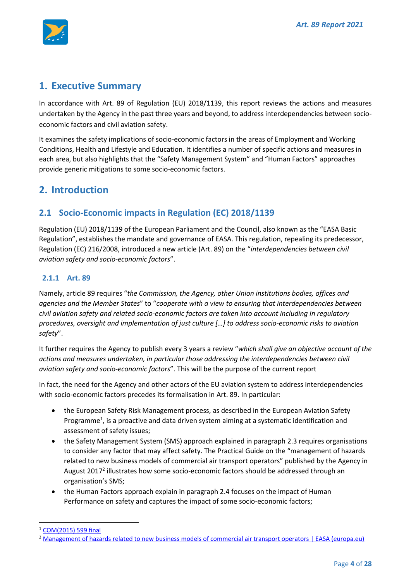

## <span id="page-3-0"></span>**1. Executive Summary**

In accordance with Art. 89 of Regulation (EU) 2018/1139, this report reviews the actions and measures undertaken by the Agency in the past three years and beyond, to address interdependencies between socioeconomic factors and civil aviation safety.

It examines the safety implications of socio-economic factors in the areas of Employment and Working Conditions, Health and Lifestyle and Education. It identifies a number of specific actions and measures in each area, but also highlights that the "Safety Management System" and "Human Factors" approaches provide generic mitigations to some socio-economic factors.

## <span id="page-3-1"></span>**2. Introduction**

## <span id="page-3-2"></span>**2.1 Socio-Economic impacts in Regulation (EC) 2018/1139**

Regulation (EU) 2018/1139 of the European Parliament and the Council, also known as the "EASA Basic Regulation", establishes the mandate and governance of EASA. This regulation, repealing its predecessor, Regulation (EC) 216/2008, introduced a new article (Art. 89) on the "*interdependencies between civil aviation safety and socio-economic factors*".

#### <span id="page-3-3"></span>**2.1.1 Art. 89**

Namely, article 89 requires "*the Commission, the Agency, other Union institutions bodies, offices and agencies and the Member States*" to "*cooperate with a view to ensuring that interdependencies between civil aviation safety and related socio-economic factors are taken into account including in regulatory procedures, oversight and implementation of just culture […] to address socio-economic risks to aviation safety*".

It further requires the Agency to publish every 3 years a review "*which shall give an objective account of the actions and measures undertaken, in particular those addressing the interdependencies between civil aviation safety and socio-economic factors*". This will be the purpose of the current report

In fact, the need for the Agency and other actors of the EU aviation system to address interdependencies with socio-economic factors precedes its formalisation in Art. 89. In particular:

- the European Safety Risk Management process, as described in the European Aviation Safety Programme<sup>1</sup>, is a proactive and data driven system aiming at a systematic identification and assessment of safety issues;
- the Safety Management System (SMS) approach explained in paragraph [2.3](#page-4-2) requires organisations to consider any factor that may affect safety. The Practical Guide on the "management of hazards related to new business models of commercial air transport operators" published by the Agency in August 2017<sup>2</sup> illustrates how some socio-economic factors should be addressed through an organisation's SMS;
- the Human Factors approach explain in paragrap[h 2.4](#page-5-0) focuses on the impact of Human Performance on safety and captures the impact of some socio-economic factors;

<sup>1</sup> [COM\(2015\) 599 final](https://www.google.de/url?sa=t&rct=j&q=&esrc=s&source=web&cd=&ved=2ahUKEwj6o_SnwLrzAhUmgP0HHSXnAjMQFnoECAcQAQ&url=https%3A%2F%2Fec.europa.eu%2Ftransport%2Fsites%2Ftransport%2Ffiles%2Fmodes%2Fair%2Fsafety%2Fdoc%2Faviation_safety_programme_report_2015.pdf&usg=AOvVaw1ir5jHPW2yJw-iklQqfV46)

<sup>&</sup>lt;sup>2</sup> [Management of hazards related to new business models of commercial air transport operators | EASA \(europa.eu\)](https://www.easa.europa.eu/document-library/general-publications/management-hazards-related-new-business-models-commercial-air)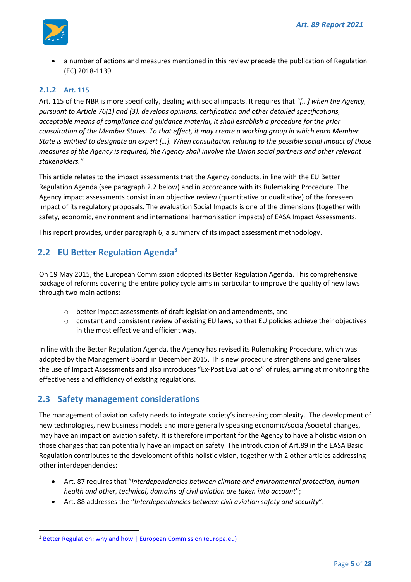

• a number of actions and measures mentioned in this review precede the publication of Regulation (EC) 2018-1139.

#### <span id="page-4-0"></span>**2.1.2 Art. 115**

Art. 115 of the NBR is more specifically, dealing with social impacts. It requires that *"[…] when the Agency, pursuant to Article 76(1) and (3), develops opinions, certification and other detailed specifications, acceptable means of compliance and guidance material, it shall establish a procedure for the prior consultation of the Member States. To that effect, it may create a working group in which each Member State is entitled to designate an expert […]. When consultation relating to the possible social impact of those measures of the Agency is required, the Agency shall involve the Union social partners and other relevant stakeholders."* 

This article relates to the impact assessments that the Agency conducts, in line with the EU Better Regulation Agenda (see paragraph [2.2](#page-4-1) below) and in accordance with its Rulemaking Procedure. The Agency impact assessments consist in an objective review (quantitative or qualitative) of the foreseen impact of its regulatory proposals. The evaluation Social Impacts is one of the dimensions (together with safety, economic, environment and international harmonisation impacts) of EASA Impact Assessments.

This report provides, under paragraph [6,](#page-19-0) a summary of its impact assessment methodology.

## <span id="page-4-1"></span>**2.2 EU Better Regulation Agenda<sup>3</sup>**

On 19 May 2015, the European Commission adopted its Better Regulation Agenda. This comprehensive package of reforms covering the entire policy cycle aims in particular to improve the quality of new laws through two main actions:

- o better impact assessments of draft legislation and amendments, and
- o constant and consistent review of existing EU laws, so that EU policies achieve their objectives in the most effective and efficient way.

In line with the Better Regulation Agenda, the Agency has revised its Rulemaking Procedure, which was adopted by the Management Board in December 2015. This new procedure strengthens and generalises the use of Impact Assessments and also introduces "Ex-Post Evaluations" of rules, aiming at monitoring the effectiveness and efficiency of existing regulations.

## <span id="page-4-2"></span>**2.3 Safety management considerations**

The management of aviation safety needs to integrate society's increasing complexity. The development of new technologies, new business models and more generally speaking economic/social/societal changes, may have an impact on aviation safety. It is therefore important for the Agency to have a holistic vision on those changes that can potentially have an impact on safety. The introduction of Art.89 in the EASA Basic Regulation contributes to the development of this holistic vision, together with 2 other articles addressing other interdependencies:

- Art. 87 requires that "*interdependencies between climate and environmental protection, human health and other, technical, domains of civil aviation are taken into account*";
- Art. 88 addresses the "*Interdependencies between civil aviation safety and security*".

<sup>&</sup>lt;sup>3</sup> [Better Regulation: why and how | European Commission \(europa.eu\)](https://ec.europa.eu/info/law/law-making-process/planning-and-proposing-law/better-regulation-why-and-how_en)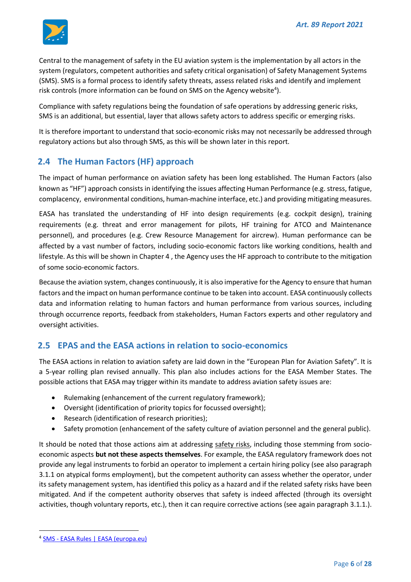

Central to the management of safety in the EU aviation system is the implementation by all actors in the system (regulators, competent authorities and safety critical organisation) of Safety Management Systems (SMS). SMS is a formal process to identify safety threats, assess related risks and identify and implement risk controls (more information can be found on SMS on the Agency website<sup>4</sup>).

Compliance with safety regulations being the foundation of safe operations by addressing generic risks, SMS is an additional, but essential, layer that allows safety actors to address specific or emerging risks.

It is therefore important to understand that socio-economic risks may not necessarily be addressed through regulatory actions but also through SMS, as this will be shown later in this report.

## <span id="page-5-0"></span>**2.4 The Human Factors (HF) approach**

The impact of human performance on aviation safety has been long established. The Human Factors (also known as "HF") approach consists in identifying the issues affecting Human Performance (e.g. stress, fatigue, complacency, environmental conditions, human-machine interface, etc.) and providing mitigating measures.

EASA has translated the understanding of HF into design requirements (e.g. cockpit design), training requirements (e.g. threat and error management for pilots, HF training for ATCO and Maintenance personnel), and procedures (e.g. Crew Resource Management for aircrew). Human performance can be affected by a vast number of factors, including socio-economic factors like working conditions, health and lifestyle. As this will be shown in Chapter [4](#page-16-0) , the Agency uses the HF approach to contribute to the mitigation of some socio-economic factors.

Because the aviation system, changes continuously, it is also imperative for the Agency to ensure that human factors and the impact on human performance continue to be taken into account. EASA continuously collects data and information relating to human factors and human performance from various sources, including through occurrence reports, feedback from stakeholders, Human Factors experts and other regulatory and oversight activities.

## <span id="page-5-1"></span>**2.5 EPAS and the EASA actions in relation to socio-economics**

The EASA actions in relation to aviation safety are laid down in the "European Plan for Aviation Safety". It is a 5-year rolling plan revised annually. This plan also includes actions for the EASA Member States. The possible actions that EASA may trigger within its mandate to address aviation safety issues are:

- Rulemaking (enhancement of the current regulatory framework);
- Oversight (identification of priority topics for focussed oversight);
- Research (identification of research priorities);
- Safety promotion (enhancement of the safety culture of aviation personnel and the general public).

It should be noted that those actions aim at addressing safety risks, including those stemming from socioeconomic aspects **but not these aspects themselves**. For example, the EASA regulatory framework does not provide any legal instruments to forbid an operator to implement a certain hiring policy (see also paragraph [3.1.1](#page-7-2) on atypical forms employment), but the competent authority can assess whether the operator, under its safety management system, has identified this policy as a hazard and if the related safety risks have been mitigated. And if the competent authority observes that safety is indeed affected (through its oversight activities, though voluntary reports, etc.), then it can require corrective actions (see again paragrap[h 3.1.1.](#page-7-2)).

<sup>4</sup> SMS - [EASA Rules | EASA \(europa.eu\)](https://www.easa.europa.eu/domains/safety-management/safety-management-system/sms-easa-rules)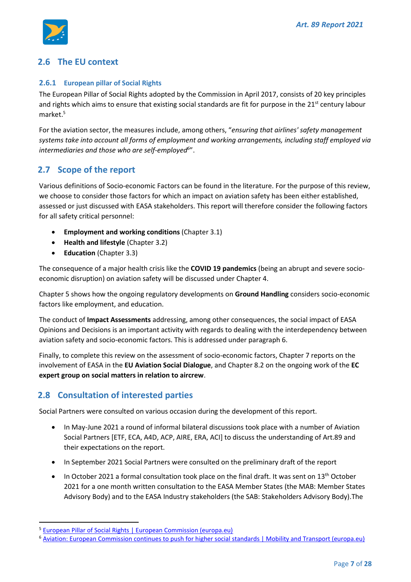

## <span id="page-6-0"></span>**2.6 The EU context**

#### <span id="page-6-1"></span>**2.6.1 European pillar of Social Rights**

The European Pillar of Social Rights adopted by the Commission in April 2017, consists of 20 key principles and rights which aims to ensure that existing social standards are fit for purpose in the  $21^{st}$  century labour market. 5

For the aviation sector, the measures include, among others, "*ensuring that airlines' safety management systems take into account all forms of employment and working arrangements, including staff employed via intermediaries and those who are self-employed<sup>6</sup>* ".

## <span id="page-6-2"></span>**2.7 Scope of the report**

Various definitions of Socio-economic Factors can be found in the literature. For the purpose of this review, we choose to consider those factors for which an impact on aviation safety has been either established, assessed or just discussed with EASA stakeholders. This report will therefore consider the following factors for all safety critical personnel:

- **Employment and working conditions** (Chapte[r 3.1\)](#page-7-1)
- **Health and lifestyle** (Chapter [3.2\)](#page-12-0)
- **Education** (Chapter [3.3\)](#page-14-0)

The consequence of a major health crisis like the **COVID 19 pandemics** (being an abrupt and severe socioeconomic disruption) on aviation safety will be discussed under Chapte[r 4.](#page-16-0)

Chapter [5](#page-18-0) shows how the ongoing regulatory developments on **Ground Handling** considers socio-economic factors like employment, and education.

The conduct of **Impact Assessments** addressing, among other consequences, the social impact of EASA Opinions and Decisions is an important activity with regards to dealing with the interdependency between aviation safety and socio-economic factors. This is addressed under paragrap[h 6.](#page-19-0)

Finally, to complete this review on the assessment of socio-economic factors, Chapter [7](#page-22-0) reports on the involvement of EASA in the **EU Aviation Social Dialogue**, and Chapte[r 8.2](#page-23-3) on the ongoing work of the **EC expert group on social matters in relation to aircrew**.

## <span id="page-6-3"></span>**2.8 Consultation of interested parties**

Social Partners were consulted on various occasion during the development of this report.

- In May-June 2021 a round of informal bilateral discussions took place with a number of Aviation Social Partners [ETF, ECA, A4D, ACP, AIRE, ERA, ACI] to discuss the understanding of Art.89 and their expectations on the report.
- In September 2021 Social Partners were consulted on the preliminary draft of the report
- In October 2021 a formal consultation took place on the final draft. It was sent on  $13<sup>th</sup>$  October 2021 for a one month written consultation to the EASA Member States (the MAB: Member States Advisory Body) and to the EASA Industry stakeholders (the SAB: Stakeholders Advisory Body).The

<sup>&</sup>lt;sup>5</sup> [European Pillar of Social Rights | European Commission \(europa.eu\)](https://ec.europa.eu/info/strategy/priorities-2019-2024/economy-works-people/jobs-growth-and-investment/european-pillar-social-rights_en)

<sup>&</sup>lt;sup>6</sup> Aviation: European Commission continues to push for [higher social standards | Mobility and Transport \(europa.eu\)](https://ec.europa.eu/transport/modes/air/news/2019-03-01-social-standards-air-transport_en)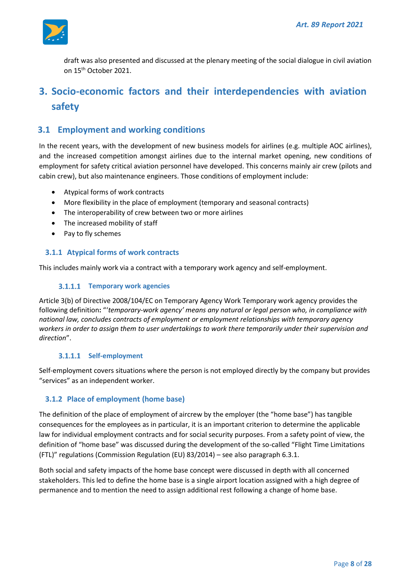

draft was also presented and discussed at the plenary meeting of the social dialogue in civil aviation on 15th October 2021.

# <span id="page-7-0"></span>**3. Socio-economic factors and their interdependencies with aviation safety**

## <span id="page-7-1"></span>**3.1 Employment and working conditions**

In the recent years, with the development of new business models for airlines (e.g. multiple AOC airlines), and the increased competition amongst airlines due to the internal market opening, new conditions of employment for safety critical aviation personnel have developed. This concerns mainly air crew (pilots and cabin crew), but also maintenance engineers. Those conditions of employment include:

- Atypical forms of work contracts
- More flexibility in the place of employment (temporary and seasonal contracts)
- The interoperability of crew between two or more airlines
- The increased mobility of staff
- Pay to fly schemes

#### <span id="page-7-2"></span>**3.1.1 Atypical forms of work contracts**

This includes mainly work via a contract with a temporary work agency and self-employment.

#### **3.1.1.1 Temporary work agencies**

Article 3(b) of Directive 2008/104/EC on Temporary Agency Work Temporary work agency provides the following definition**:** "'*temporary-work agency' means any natural or legal person who, in compliance with national law, concludes contracts of employment or employment relationships with temporary agency workers in order to assign them to user undertakings to work there temporarily under their supervision and direction*".

#### **Self-employment**

Self-employment covers situations where the person is not employed directly by the company but provides "services" as an independent worker.

#### <span id="page-7-3"></span>**3.1.2 Place of employment (home base)**

The definition of the place of employment of aircrew by the employer (the "home base") has tangible consequences for the employees as in particular, it is an important criterion to determine the applicable law for individual employment contracts and for social security purposes. From a safety point of view, the definition of "home base" was discussed during the development of the so-called "Flight Time Limitations (FTL)" regulations (Commission Regulation (EU) 83/2014) – see also paragrap[h 6.3.1.](#page-21-2)

Both social and safety impacts of the home base concept were discussed in depth with all concerned stakeholders. This led to define the home base is a single airport location assigned with a high degree of permanence and to mention the need to assign additional rest following a change of home base.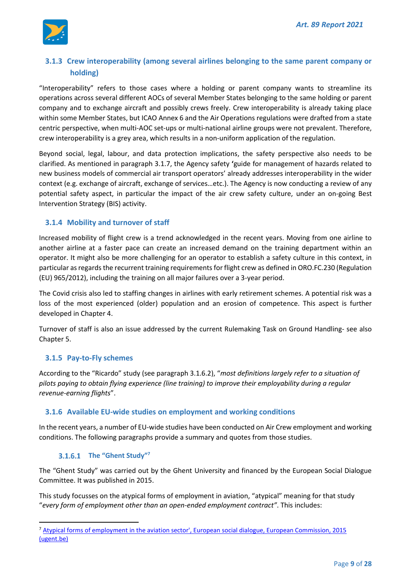

## <span id="page-8-0"></span>**3.1.3 Crew interoperability (among several airlines belonging to the same parent company or holding)**

"Interoperability" refers to those cases where a holding or parent company wants to streamline its operations across several different AOCs of several Member States belonging to the same holding or parent company and to exchange aircraft and possibly crews freely. Crew interoperability is already taking place within some Member States, but ICAO Annex 6 and the Air Operations regulations were drafted from a state centric perspective, when multi-AOC set-ups or multi-national airline groups were not prevalent. Therefore, crew interoperability is a grey area, which results in a non-uniform application of the regulation.

Beyond social, legal, labour, and data protection implications, the safety perspective also needs to be clarified. As mentioned in paragraph [3.1.7,](#page-10-0) the Agency safety **'**[guide for management of hazards related to](https://www.easa.europa.eu/sites/default/files/dfu/Practical%20Guide%20New%20Business%20Models%20Hazards%20Mgt.pdf)  [new business models of commercial air transport operators'](https://www.easa.europa.eu/sites/default/files/dfu/Practical%20Guide%20New%20Business%20Models%20Hazards%20Mgt.pdf) already addresses interoperability in the wider context (e.g. exchange of aircraft, exchange of services…etc.). The Agency is now conducting a review of any potential safety aspect, in particular the impact of the air crew safety culture, under an on-going Best Intervention Strategy (BIS) activity.

#### <span id="page-8-1"></span>**3.1.4 Mobility and turnover of staff**

Increased mobility of flight crew is a trend acknowledged in the recent years. Moving from one airline to another airline at a faster pace can create an increased demand on the training department within an operator. It might also be more challenging for an operator to establish a safety culture in this context, in particular as regards the recurrent training requirements for flight crew as defined in ORO.FC.230 (Regulation (EU) 965/2012), including the training on all major failures over a 3-year period.

The Covid crisis also led to staffing changes in airlines with early retirement schemes. A potential risk was a loss of the most experienced (older) population and an erosion of competence. This aspect is further developed in Chapter [4.](#page-16-0)

Turnover of staff is also an issue addressed by the current Rulemaking Task on Ground Handling- see also Chapter [5.](#page-18-0)

#### <span id="page-8-2"></span>**3.1.5 Pay-to-Fly schemes**

According to the "Ricardo" study (see paragraph [3.1.6.2](#page-9-0)), "*most definitions largely refer to a situation of pilots paying to obtain flying experience (line training) to improve their employability during a regular revenue-earning flights*".

#### <span id="page-8-3"></span>**3.1.6 Available EU-wide studies on employment and working conditions**

In the recent years, a number of EU-wide studies have been conducted on Air Crew employment and working conditions. The following paragraphs provide a summary and quotes from those studies.

#### **The "Ghent Study"<sup>7</sup>**

The "Ghent Study" was carried out by the Ghent University and financed by the European Social Dialogue Committee. It was published in 2015.

This study focusses on the atypical forms of employment in aviation, "atypical" meaning for that study "*every form of employment other than an open-ended employment contract"*. This includes:

<sup>7</sup> [Atypical forms of employment in the aviation sector', European social dialogue, European Commission, 2015](https://biblio.ugent.be/publication/6852830) [\(ugent.be\)](https://biblio.ugent.be/publication/6852830)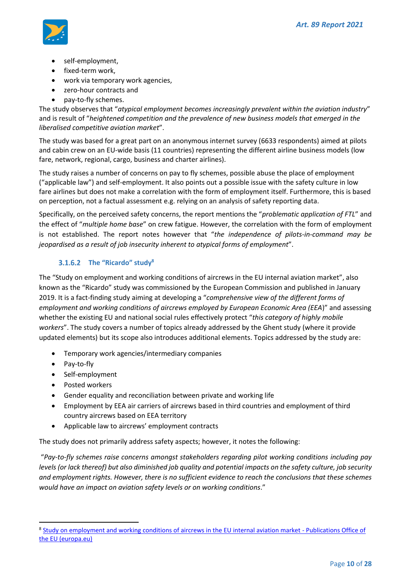

- self-employment,
- fixed-term work,
- work via temporary work agencies,
- zero-hour contracts and
- pay-to-fly schemes.

The study observes that "*atypical employment becomes increasingly prevalent within the aviation industry*" and is result of "*heightened competition and the prevalence of new business models that emerged in the liberalised competitive aviation market*".

The study was based for a great part on an anonymous internet survey (6633 respondents) aimed at pilots and cabin crew on an EU-wide basis (11 countries) representing the different airline business models (low fare, network, regional, cargo, business and charter airlines).

The study raises a number of concerns on pay to fly schemes, possible abuse the place of employment ("applicable law") and self-employment. It also points out a possible issue with the safety culture in low fare airlines but does not make a correlation with the form of employment itself. Furthermore, this is based on perception, not a factual assessment e.g. relying on an analysis of safety reporting data.

Specifically, on the perceived safety concerns, the report mentions the "*problematic application of FTL*" and the effect of "*multiple home base*" on crew fatigue. However, the correlation with the form of employment is not established. The report notes however that "*the independence of pilots-in-command may be jeopardised as a result of job insecurity inherent to atypical forms of employment*".

#### **The "Ricardo" study<sup>8</sup>**

<span id="page-9-0"></span>The "Study on employment and working conditions of aircrews in the EU internal aviation market", also known as the "Ricardo" study was commissioned by the European Commission and published in January 2019. It is a fact-finding study aiming at developing a "*comprehensive view of the different forms of employment and working conditions of aircrews employed by European Economic Area (EEA*)" and assessing whether the existing EU and national social rules effectively protect "*this category of highly mobile workers*". The study covers a number of topics already addressed by the Ghent study (where it provide updated elements) but its scope also introduces additional elements. Topics addressed by the study are:

- Temporary work agencies/intermediary companies
- Pay-to-fly
- Self-employment
- Posted workers
- Gender equality and reconciliation between private and working life
- Employment by EEA air carriers of aircrews based in third countries and employment of third country aircrews based on EEA territory
- Applicable law to aircrews' employment contracts

The study does not primarily address safety aspects; however, it notes the following:

"*Pay-to-fly schemes raise concerns amongst stakeholders regarding pilot working conditions including pay levels (or lack thereof) but also diminished job quality and potential impacts on the safety culture, job security and employment rights. However, there is no sufficient evidence to reach the conclusions that these schemes would have an impact on aviation safety levels or on working conditions*."

<sup>&</sup>lt;sup>8</sup> [Study on employment and working conditions of aircrews in the EU internal aviation market -](https://op.europa.eu/en/publication-detail/-/publication/97abb7bb-54f3-11e9-a8ed-01aa75ed71a1) Publications Office of [the EU \(europa.eu\)](https://op.europa.eu/en/publication-detail/-/publication/97abb7bb-54f3-11e9-a8ed-01aa75ed71a1)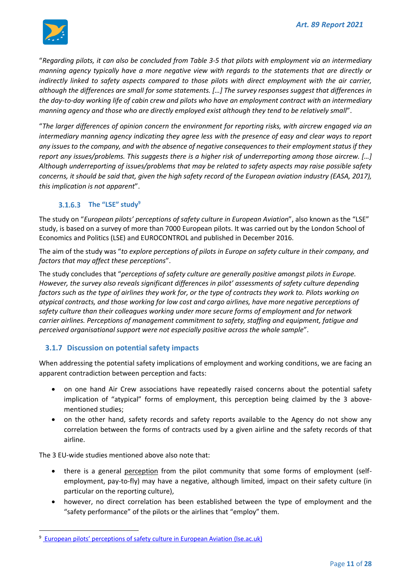

"*Regarding pilots, it can also be concluded from Table 3-5 that pilots with employment via an intermediary manning agency typically have a more negative view with regards to the statements that are directly or indirectly linked to safety aspects compared to those pilots with direct employment with the air carrier, although the differences are small for some statements. […] The survey responses suggest that differences in the day-to-day working life of cabin crew and pilots who have an employment contract with an intermediary manning agency and those who are directly employed exist although they tend to be relatively small*".

"*The larger differences of opinion concern the environment for reporting risks, with aircrew engaged via an intermediary manning agency indicating they agree less with the presence of easy and clear ways to report any issues to the company, and with the absence of negative consequences to their employment status if they report any issues/problems. This suggests there is a higher risk of underreporting among those aircrew. […] Although underreporting of issues/problems that may be related to safety aspects may raise possible safety concerns, it should be said that, given the high safety record of the European aviation industry (EASA, 2017), this implication is not apparent*".

#### **The "LSE" study<sup>9</sup>**

The study on "*European pilots' perceptions of safety culture in European Aviation*", also known as the "LSE" study, is based on a survey of more than 7000 European pilots. It was carried out by the London School of Economics and Politics (LSE) and EUROCONTROL and published in December 2016.

The aim of the study was "*to explore perceptions of pilots in Europe on safety culture in their company, and factors that may affect these perceptions*".

The study concludes that "*perceptions of safety culture are generally positive amongst pilots in Europe. However, the survey also reveals significant differences in pilot' assessments of safety culture depending factors such as the type of airlines they work for, or the type of contracts they work to. Pilots working on atypical contracts, and those working for low cost and cargo airlines, have more negative perceptions of safety culture than their colleagues working under more secure forms of employment and for network carrier airlines. Perceptions of management commitment to safety, staffing and equipment, fatigue and perceived organisational support were not especially positive across the whole sample*".

#### <span id="page-10-0"></span>**3.1.7 Discussion on potential safety impacts**

When addressing the potential safety implications of employment and working conditions, we are facing an apparent contradiction between perception and facts:

- on one hand Air Crew associations have repeatedly raised concerns about the potential safety implication of "atypical" forms of employment, this perception being claimed by the 3 abovementioned studies;
- on the other hand, safety records and safety reports available to the Agency do not show any correlation between the forms of contracts used by a given airline and the safety records of that airline.

The 3 EU-wide studies mentioned above also note that:

- there is a general perception from the pilot community that some forms of employment (selfemployment, pay-to-fly) may have a negative, although limited, impact on their safety culture (in particular on the reporting culture),
- however, no direct correlation has been established between the type of employment and the "safety performance" of the pilots or the airlines that "employ" them.

<sup>&</sup>lt;sup>9</sup> [European pilots' perceptions of safety culture in European Aviation](https://www.lse.ac.uk/business/consulting/lse-consulting-exchange/organisational-culture/what-we-offer) (Ise.ac.uk)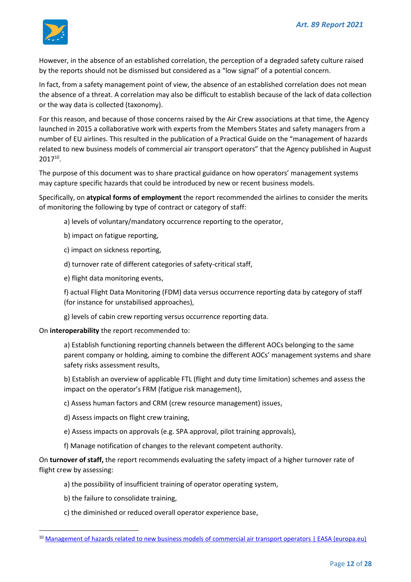

However, in the absence of an established correlation, the perception of a degraded safety culture raised by the reports should not be dismissed but considered as a "low signal" of a potential concern.

In fact, from a safety management point of view, the absence of an established correlation does not mean the absence of a threat. A correlation may also be difficult to establish because of the lack of data collection or the way data is collected (taxonomy).

For this reason, and because of those concerns raised by the Air Crew associations at that time, the Agency launched in 2015 a collaborative work with experts from the Members States and safety managers from a number of EU airlines. This resulted in the publication of a Practical Guide on the "management of hazards related to new business models of commercial air transport operators" that the Agency published in August 2017<sup>10</sup> .

The purpose of this document was to share practical guidance on how operators' management systems may capture specific hazards that could be introduced by new or recent business models.

Specifically, on **atypical forms of employment** the report recommended the airlines to consider the merits of monitoring the following by type of contract or category of staff:

- a) levels of voluntary/mandatory occurrence reporting to the operator,
- b) impact on fatigue reporting,
- c) impact on sickness reporting,
- d) turnover rate of different categories of safety-critical staff,
- e) flight data monitoring events,

f) actual Flight Data Monitoring (FDM) data versus occurrence reporting data by category of staff (for instance for unstabilised approaches),

g) levels of cabin crew reporting versus occurrence reporting data.

On **interoperability** the report recommended to:

a) Establish functioning reporting channels between the different AOCs belonging to the same parent company or holding, aiming to combine the different AOCs' management systems and share safety risks assessment results,

b) Establish an overview of applicable FTL (flight and duty time limitation) schemes and assess the impact on the operator's FRM (fatigue risk management),

- c) Assess human factors and CRM (crew resource management) issues,
- d) Assess impacts on flight crew training,
- e) Assess impacts on approvals (e.g. SPA approval, pilot training approvals),
- f) Manage notification of changes to the relevant competent authority.

On **turnover of staff,** the report recommends evaluating the safety impact of a higher turnover rate of flight crew by assessing:

- a) the possibility of insufficient training of operator operating system,
- b) the failure to consolidate training,
- c) the diminished or reduced overall operator experience base,

<sup>&</sup>lt;sup>10</sup> [Management of hazards related to new business models of commercial air transport operators | EASA \(europa.eu\)](https://www.easa.europa.eu/document-library/general-publications/management-hazards-related-new-business-models-commercial-air)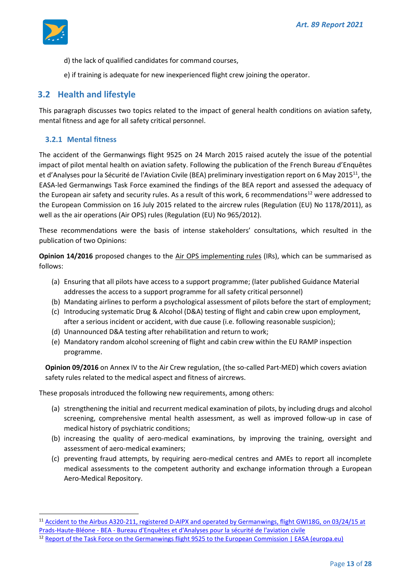

- d) the lack of qualified candidates for command courses,
- e) if training is adequate for new inexperienced flight crew joining the operator.

## <span id="page-12-0"></span>**3.2 Health and lifestyle**

This paragraph discusses two topics related to the impact of general health conditions on aviation safety, mental fitness and age for all safety critical personnel.

#### <span id="page-12-1"></span>**3.2.1 Mental fitness**

The accident of the Germanwings flight 9525 on 24 March 2015 raised acutely the issue of the potential impact of pilot mental health on aviation safety. Following the publication of the French Bureau d'Enquêtes et d'Analyses pour la Sécurité de l'Aviation Civile (BEA) preliminary investigation report on 6 May 2015<sup>11</sup>, the EASA-led Germanwings Task Force examined the findings of the BEA report and assessed the adequacy of the European air safety and security rules. As a result of this work, 6 recommendations<sup>12</sup> were addressed to the European Commission on 16 July 2015 related to the aircrew rules (Regulation (EU) No 1178/2011), as well as the air operations (Air OPS) rules (Regulation (EU) No 965/2012).

These recommendations were the basis of intense stakeholders' consultations, which resulted in the publication of two Opinions:

**Opinion 14/2016** proposed changes to the Air OPS implementing rules (IRs), which can be summarised as follows:

- (a) Ensuring that all pilots have access to a support programme; (later published Guidance Material addresses the access to a support programme for all safety critical personnel)
- (b) Mandating airlines to perform a psychological assessment of pilots before the start of employment;
- (c) Introducing systematic Drug & Alcohol (D&A) testing of flight and cabin crew upon employment, after a serious incident or accident, with due cause (i.e. following reasonable suspicion);
- (d) Unannounced D&A testing after rehabilitation and return to work;
- (e) Mandatory random alcohol screening of flight and cabin crew within the EU RAMP inspection programme.

**Opinion 09/2016** on Annex IV to the Air Crew regulation, (the so-called Part-MED) which covers aviation safety rules related to the medical aspect and fitness of aircrews.

These proposals introduced the following new requirements, among others:

- (a) strengthening the initial and recurrent medical examination of pilots, by including drugs and alcohol screening, comprehensive mental health assessment, as well as improved follow-up in case of medical history of psychiatric conditions;
- (b) increasing the quality of aero-medical examinations, by improving the training, oversight and assessment of aero-medical examiners;
- (c) preventing fraud attempts, by requiring aero-medical centres and AMEs to report all incomplete medical assessments to the competent authority and exchange information through a European Aero-Medical Repository.

<sup>11</sup> [Accident to the Airbus A320-211, registered D-AIPX and operated by Germanwings, flight GWI18G, on 03/24/15 at](https://www.bea.aero/en/investigation-reports/notified-events/detail/accident-to-the-airbus-a320-211-registered-d-aipx-and-operated-by-germanwings-flight-gwi18g-on-03-24-15-at-prads-haute-bleone/)  Prads-Haute-Bléone - BEA - [Bureau d'Enquêtes et d'Analyses pour la sécurité de l'aviation civile](https://www.bea.aero/en/investigation-reports/notified-events/detail/accident-to-the-airbus-a320-211-registered-d-aipx-and-operated-by-germanwings-flight-gwi18g-on-03-24-15-at-prads-haute-bleone/)

<sup>&</sup>lt;sup>12</sup> [Report of the Task Force on the Germanwings flight 9525 to the European Commission | EASA \(europa.eu\)](https://www.easa.europa.eu/newsroom-and-events/news/report-task-force-germanwings-flight-9525-european-commission)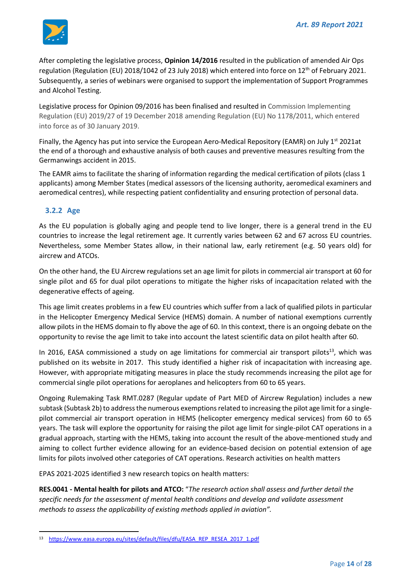

After completing the legislative process, **Opinion 14/2016** resulted in the publication of amended Air Ops regulation (Regulation (EU) 2018/1042 of 23 July 2018) which entered into force on 12<sup>th</sup> of February 2021. Subsequently, a series of webinars were organised to support the implementation of Support Programmes and Alcohol Testing.

Legislative process for Opinion 09/2016 has been finalised and resulted in Commission Implementing Regulation (EU) 2019/27 of 19 December 2018 amending Regulation (EU) No 1178/2011, which entered into force as of 30 January 2019.

Finally, the Agency has put into service the European Aero-Medical Repository (EAMR) on July 1<sup>st</sup> 2021at the end of a thorough and exhaustive analysis of both causes and preventive measures resulting from the Germanwings accident in 2015.

The EAMR aims to facilitate the sharing of information regarding the medical certification of pilots (class 1 applicants) among Member States (medical assessors of the licensing authority, aeromedical examiners and aeromedical centres), while respecting patient confidentiality and ensuring protection of personal data.

## <span id="page-13-0"></span>**3.2.2 Age**

As the EU population is globally aging and people tend to live longer, there is a general trend in the EU countries to increase the legal retirement age. It currently varies between 62 and 67 across EU countries. Nevertheless, some Member States allow, in their national law, early retirement (e.g. 50 years old) for aircrew and ATCOs.

On the other hand, the EU Aircrew regulations set an age limit for pilots in commercial air transport at 60 for single pilot and 65 for dual pilot operations to mitigate the higher risks of incapacitation related with the degenerative effects of ageing.

This age limit creates problems in a few EU countries which suffer from a lack of qualified pilots in particular in the Helicopter Emergency Medical Service (HEMS) domain. A number of national exemptions currently allow pilots in the HEMS domain to fly above the age of 60. In this context, there is an ongoing debate on the opportunity to revise the age limit to take into account the latest scientific data on pilot health after 60.

In 2016, EASA commissioned a study on age limitations for commercial air transport pilots<sup>13</sup>, which was published on its website in 2017. This study identified a higher risk of incapacitation with increasing age. However, with appropriate mitigating measures in place the study recommends increasing the pilot age for commercial single pilot operations for aeroplanes and helicopters from 60 to 65 years.

Ongoing Rulemaking Task RMT.0287 (Regular update of Part MED of Aircrew Regulation) includes a new subtask (Subtask 2b) to address the numerous exemptions related to increasing the pilot age limit for a singlepilot commercial air transport operation in HEMS (helicopter emergency medical services) from 60 to 65 years. The task will explore the opportunity for raising the pilot age limit for single-pilot CAT operations in a gradual approach, starting with the HEMS, taking into account the result of the above-mentioned study and aiming to collect further evidence allowing for an evidence-based decision on potential extension of age limits for pilots involved other categories of CAT operations. Research activities on health matters

EPAS 2021-2025 identified 3 new research topics on health matters:

**RES.0041 - Mental health for pilots and ATCO:** "*The research action shall assess and further detail the specific needs for the assessment of mental health conditions and develop and validate assessment methods to assess the applicability of existing methods applied in aviation".*

<sup>13</sup> [https://www.easa.europa.eu/sites/default/files/dfu/EASA\\_REP\\_RESEA\\_2017\\_1.pdf](https://www.easa.europa.eu/sites/default/files/dfu/EASA_REP_RESEA_2017_1.pdf)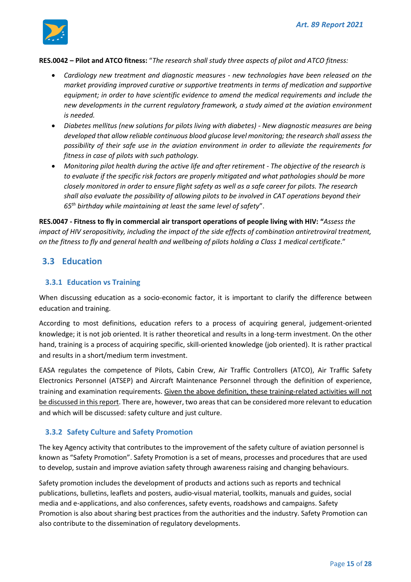

#### **RES.0042 – Pilot and ATCO fitness:** "*The research shall study three aspects of pilot and ATCO fitness:*

- *Cardiology new treatment and diagnostic measures - new technologies have been released on the market providing improved curative or supportive treatments in terms of medication and supportive equipment; in order to have scientific evidence to amend the medical requirements and include the new developments in the current regulatory framework, a study aimed at the aviation environment is needed.*
- *Diabetes mellitus (new solutions for pilots living with diabetes) - New diagnostic measures are being developed that allow reliable continuous blood glucose level monitoring; the research shall assess the possibility of their safe use in the aviation environment in order to alleviate the requirements for fitness in case of pilots with such pathology.*
- *Monitoring pilot health during the active life and after retirement - The objective of the research is to evaluate if the specific risk factors are properly mitigated and what pathologies should be more closely monitored in order to ensure flight safety as well as a safe career for pilots. The research shall also evaluate the possibility of allowing pilots to be involved in CAT operations beyond their 65th birthday while maintaining at least the same level of safety*".

**RES.0047 - Fitness to fly in commercial air transport operations of people living with HIV: "***Assess the impact of HIV seropositivity, including the impact of the side effects of combination antiretroviral treatment, on the fitness to fly and general health and wellbeing of pilots holding a Class 1 medical certificate*."

## <span id="page-14-0"></span>**3.3 Education**

#### <span id="page-14-1"></span>**3.3.1 Education vs Training**

When discussing education as a socio-economic factor, it is important to clarify the difference between education and training.

According to most definitions, education refers to a process of acquiring general, judgement-oriented knowledge; it is not job oriented. It is rather theoretical and results in a long-term investment. On the other hand, training is a process of acquiring specific, skill-oriented knowledge (job oriented). It is rather practical and results in a short/medium term investment.

EASA regulates the competence of Pilots, Cabin Crew, Air Traffic Controllers (ATCO), Air Traffic Safety Electronics Personnel (ATSEP) and Aircraft Maintenance Personnel through the definition of experience, training and examination requirements. Given the above definition, these training-related activities will not be discussed in this report. There are, however, two areas that can be considered more relevant to education and which will be discussed: safety culture and just culture.

#### <span id="page-14-2"></span>**3.3.2 Safety Culture and Safety Promotion**

The key Agency activity that contributes to the improvement of the safety culture of aviation personnel is known as "Safety Promotion". Safety Promotion is a set of means, processes and procedures that are used to develop, sustain and improve aviation safety through awareness raising and changing behaviours.

Safety promotion includes the development of products and actions such as reports and technical publications, bulletins, leaflets and posters, audio-visual material, toolkits, manuals and guides, social media and e-applications, and also conferences, safety events, roadshows and campaigns. Safety Promotion is also about sharing best practices from the authorities and the industry. Safety Promotion can also contribute to the dissemination of regulatory developments.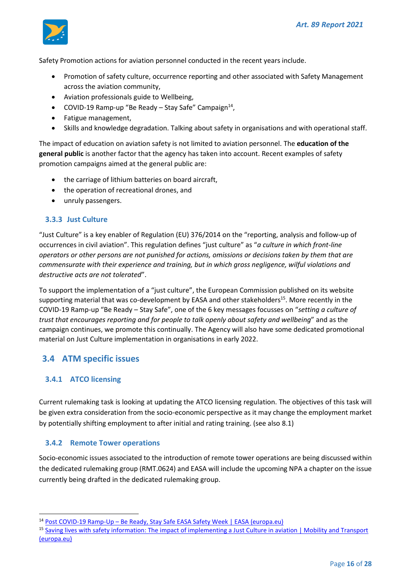

Safety Promotion actions for aviation personnel conducted in the recent years include.

- Promotion of safety culture, occurrence reporting and other associated with Safety Management across the aviation community,
- Aviation professionals guide to Wellbeing,
- COVID-19 Ramp-up "Be Ready Stay Safe" Campaign<sup>14</sup>,
- Fatigue management,
- Skills and knowledge degradation. Talking about safety in organisations and with operational staff.

The impact of education on aviation safety is not limited to aviation personnel. The **education of the general public** is another factor that the agency has taken into account. Recent examples of safety promotion campaigns aimed at the general public are:

- the carriage of lithium batteries on board aircraft,
- the operation of recreational drones, and
- unruly passengers.

#### <span id="page-15-0"></span>**3.3.3 Just Culture**

"Just Culture" is a key enabler of Regulation (EU) 376/2014 on the "reporting, analysis and follow-up of occurrences in civil aviation". This regulation defines "just culture" as "*a culture in which front-line operators or other persons are not punished for actions, omissions or decisions taken by them that are commensurate with their experience and training, but in which gross negligence, wilful violations and destructive acts are not tolerated*".

To support the implementation of a "just culture", the European Commission published on its website supporting material that was co-development by EASA and other stakeholders<sup>15</sup>. More recently in the COVID-19 Ramp-up "Be Ready – Stay Safe", one of the 6 key messages focusses on "*setting a culture of trust that encourages reporting and for people to talk openly about safety and wellbeing*" and as the campaign continues, we promote this continually. The Agency will also have some dedicated promotional material on Just Culture implementation in organisations in early 2022.

## <span id="page-15-1"></span>**3.4 ATM specific issues**

#### <span id="page-15-2"></span>**3.4.1 ATCO licensing**

Current rulemaking task is looking at updating the ATCO licensing regulation. The objectives of this task will be given extra consideration from the socio-economic perspective as it may change the employment market by potentially shifting employment to after initial and rating training. (see also [8.1\)](#page-23-2)

#### <span id="page-15-3"></span>**3.4.2 Remote Tower operations**

Socio-economic issues associated to the introduction of remote tower operations are being discussed within the dedicated rulemaking group (RMT.0624) and EASA will include the upcoming NPA a chapter on the issue currently being drafted in the dedicated rulemaking group.

<sup>14</sup> Post COVID-19 Ramp-Up – [Be Ready, Stay Safe EASA Safety Week |](https://www.easa.europa.eu/newsroom-and-events/events/post-covid-19-ramp-be-ready-stay-safe-easa-safety-week#:~:text=EASA%20have%20partnered%20with%20organisations,June%2021%2D24%2C%202021.) EASA (europa.eu)

<sup>&</sup>lt;sup>15</sup> Saving lives with safety information: The impact of implementing a Just Culture in aviation | Mobility and Transport [\(europa.eu\)](https://ec.europa.eu/transport/modes/air/event/saving-lives-safety-information-impact-implementing-just-culture-aviation_en)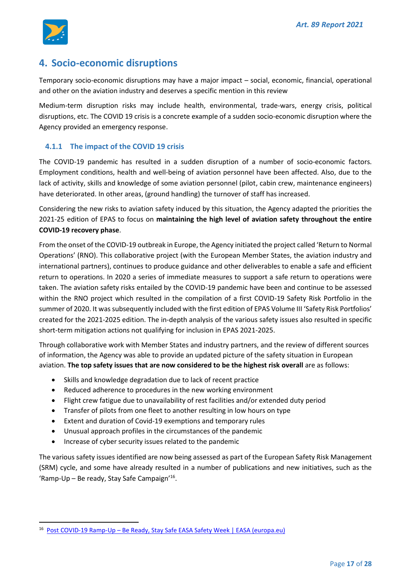

## <span id="page-16-0"></span>**4. Socio-economic disruptions**

Temporary socio-economic disruptions may have a major impact – social, economic, financial, operational and other on the aviation industry and deserves a specific mention in this review

Medium-term disruption risks may include health, environmental, trade-wars, energy crisis, political disruptions, etc. The COVID 19 crisis is a concrete example of a sudden socio-economic disruption where the Agency provided an emergency response.

#### <span id="page-16-1"></span>**4.1.1 The impact of the COVID 19 crisis**

The COVID-19 pandemic has resulted in a sudden disruption of a number of socio-economic factors. Employment conditions, health and well-being of aviation personnel have been affected. Also, due to the lack of activity, skills and knowledge of some aviation personnel (pilot, cabin crew, maintenance engineers) have deteriorated. In other areas, (ground handling) the turnover of staff has increased.

Considering the new risks to aviation safety induced by this situation, the Agency adapted the priorities the 2021-25 edition of EPAS to focus on **maintaining the high level of aviation safety throughout the entire COVID-19 recovery phase**.

From the onset of the COVID-19 outbreak in Europe, the Agency initiated the project called 'Return to Normal Operations' (RNO). This collaborative project (with the European Member States, the aviation industry and international partners), continues to produce guidance and other deliverables to enable a safe and efficient return to operations. In 2020 a series of immediate measures to support a safe return to operations were taken. The aviation safety risks entailed by the COVID-19 pandemic have been and continue to be assessed within the RNO project which resulted in the compilation of a first COVID-19 Safety Risk Portfolio in the summer of 2020. It was subsequently included with the first edition of EPAS Volume III 'Safety Risk Portfolios' created for the 2021-2025 edition. The in-depth analysis of the various safety issues also resulted in specific short-term mitigation actions not qualifying for inclusion in EPAS 2021-2025.

Through collaborative work with Member States and industry partners, and the review of different sources of information, the Agency was able to provide an updated picture of the safety situation in European aviation. **The top safety issues that are now considered to be the highest risk overall** are as follows:

- Skills and knowledge degradation due to lack of recent practice
- Reduced adherence to procedures in the new working environment
- Flight crew fatigue due to unavailability of rest facilities and/or extended duty period
- Transfer of pilots from one fleet to another resulting in low hours on type
- Extent and duration of Covid-19 exemptions and temporary rules
- Unusual approach profiles in the circumstances of the pandemic
- Increase of cyber security issues related to the pandemic

The various safety issues identified are now being assessed as part of the European Safety Risk Management (SRM) cycle, and some have already resulted in a number of publications and new initiatives, such as the 'Ramp-Up – Be ready, Stay Safe Campaign'<sup>16</sup> .

<sup>&</sup>lt;sup>16</sup> Post COVID-19 Ramp-Up – [Be Ready, Stay Safe EASA Safety Week | EASA \(europa.eu\)](https://www.easa.europa.eu/newsroom-and-events/events/post-covid-19-ramp-be-ready-stay-safe-easa-safety-week#:~:text=EASA%20have%20partnered%20with%20organisations,June%2021%2D24%2C%202021.)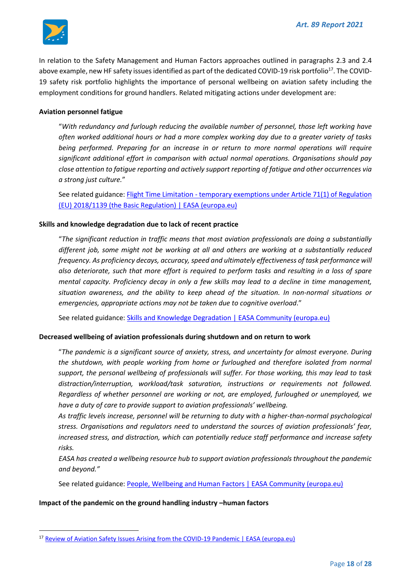

In relation to the Safety Management and Human Factors approaches outlined in paragraphs [2.3](#page-4-2) and [2.4](#page-5-0)  [above](#page-5-0) example, new HF safety issues identified as part of the dedicated COVID-19 risk portfolio<sup>17</sup>. The COVID-19 safety risk portfolio highlights the importance of personal wellbeing on aviation safety including the employment conditions for ground handlers. Related mitigating actions under development are:

#### **Aviation personnel fatigue**

"*With redundancy and furlough reducing the available number of personnel, those left working have often worked additional hours or had a more complex working day due to a greater variety of tasks being performed. Preparing for an increase in or return to more normal operations will require significant additional effort in comparison with actual normal operations. Organisations should pay close attention to fatigue reporting and actively support reporting of fatigue and other occurrences via a strong just culture.*"

See related guidance: Flight Time Limitation - [temporary exemptions under Article 71\(1\) of Regulation](https://www.easa.europa.eu/document-library/general-publications/flight-time-limitation-temporary-exemptions-under-article-711)  [\(EU\) 2018/1139 \(the Basic Regulation\) | EASA \(europa.eu\)](https://www.easa.europa.eu/document-library/general-publications/flight-time-limitation-temporary-exemptions-under-article-711)

#### **Skills and knowledge degradation due to lack of recent practice**

"*The significant reduction in traffic means that most aviation professionals are doing a substantially different job, some might not be working at all and others are working at a substantially reduced frequency. As proficiency decays, accuracy, speed and ultimately effectiveness of task performance will also deteriorate, such that more effort is required to perform tasks and resulting in a loss of spare mental capacity. Proficiency decay in only a few skills may lead to a decline in time management, situation awareness, and the ability to keep ahead of the situation. In non-normal situations or emergencies, appropriate actions may not be taken due to cognitive overload*."

See related guidance: [Skills and Knowledge Degradation | EASA Community \(europa.eu\)](https://www.easa.europa.eu/community/topics/skills-and-knowledge-degradation)

#### **Decreased wellbeing of aviation professionals during shutdown and on return to work**

"*The pandemic is a significant source of anxiety, stress, and uncertainty for almost everyone. During the shutdown, with people working from home or furloughed and therefore isolated from normal support, the personal wellbeing of professionals will suffer. For those working, this may lead to task distraction/interruption, workload/task saturation, instructions or requirements not followed. Regardless of whether personnel are working or not, are employed, furloughed or unemployed, we have a duty of care to provide support to aviation professionals' wellbeing.* 

*As traffic levels increase, personnel will be returning to duty with a higher-than-normal psychological stress. Organisations and regulators need to understand the sources of aviation professionals' fear, increased stress, and distraction, which can potentially reduce staff performance and increase safety risks.* 

*EASA has created a wellbeing resource hub to support aviation professionals throughout the pandemic and beyond."*

See related guidance: [People, Wellbeing and Human Factors | EASA Community \(europa.eu\)](https://www.easa.europa.eu/community/content/people-wellbeing-and-human-factors)

#### **Impact of the pandemic on the ground handling industry –human factors**

<sup>&</sup>lt;sup>17</sup> [Review of Aviation Safety Issues Arising from the COVID-19 Pandemic | EASA \(europa.eu\)](https://www.easa.europa.eu/document-library/general-publications/review-aviation-safety-issues-arising-covid-19-pandemic-0)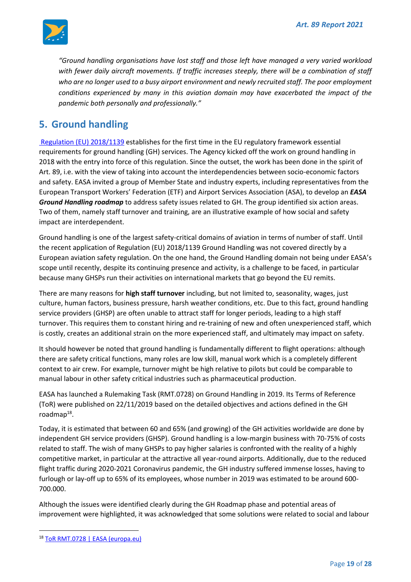

*"Ground handling organisations have lost staff and those left have managed a very varied workload with fewer daily aircraft movements. If traffic increases steeply, there will be a combination of staff*  who are no longer used to a busy airport environment and newly recruited staff. The poor employment *conditions experienced by many in this aviation domain may have exacerbated the impact of the pandemic both personally and professionally."*

## <span id="page-18-0"></span>**5. Ground handling**

[Regulation \(EU\) 2018/1139](https://eur-lex.europa.eu/legal-content/EN/TXT/?uri=CELEX:32018R1139) establishes for the first time in the EU regulatory framework essential requirements for ground handling (GH) services. The Agency kicked off the work on ground handling in 2018 with the entry into force of this regulation. Since the outset, the work has been done in the spirit of Art. 89, i.e. with the view of taking into account the interdependencies between socio-economic factors and safety. EASA invited a group of Member State and industry experts, including representatives from the European Transport Workers' Federation (ETF) and Airport Services Association (ASA), to develop an *EASA Ground Handling roadmap* to address safety issues related to GH. The group identified six action areas. Two of them, namely staff turnover and training, are an illustrative example of how social and safety impact are interdependent.

Ground handling is one of the largest safety-critical domains of aviation in terms of number of staff. Until the recent application of Regulation (EU) 2018/1139 Ground Handling was not covered directly by a European aviation safety regulation. On the one hand, the Ground Handling domain not being under EASA's scope until recently, despite its continuing presence and activity, is a challenge to be faced, in particular because many GHSPs run their activities on international markets that go beyond the EU remits.

There are many reasons for **high staff turnover** including, but not limited to, seasonality, wages, just culture, human factors, business pressure, harsh weather conditions, etc. Due to this fact, ground handling service providers (GHSP) are often unable to attract staff for longer periods, leading to a high staff turnover. This requires them to constant hiring and re-training of new and often unexperienced staff, which is costly, creates an additional strain on the more experienced staff, and ultimately may impact on safety.

It should however be noted that ground handling is fundamentally different to flight operations: although there are safety critical functions, many roles are low skill, manual work which is a completely different context to air crew. For example, turnover might be high relative to pilots but could be comparable to manual labour in other safety critical industries such as pharmaceutical production.

EASA has launched a Rulemaking Task (RMT.0728) on Ground Handling in 2019. Its Terms of Reference (ToR) were published on 22/11/2019 based on the detailed objectives and actions defined in the GH roadmap<sup>18</sup>.

Today, it is estimated that between 60 and 65% (and growing) of the GH activities worldwide are done by independent GH service providers (GHSP). Ground handling is a low-margin business with 70-75% of costs related to staff. The wish of many GHSPs to pay higher salaries is confronted with the reality of a highly competitive market, in particular at the attractive all year-round airports. Additionally, due to the reduced flight traffic during 2020-2021 Coronavirus pandemic, the GH industry suffered immense losses, having to furlough or lay-off up to 65% of its employees, whose number in 2019 was estimated to be around 600- 700.000.

Although the issues were identified clearly during the GH Roadmap phase and potential areas of improvement were highlighted, it was acknowledged that some solutions were related to social and labour

<sup>18</sup> [ToR RMT.0728 | EASA \(europa.eu\)](https://www.easa.europa.eu/document-library/terms-of-reference-and-group-compositions/tor-rmt0728)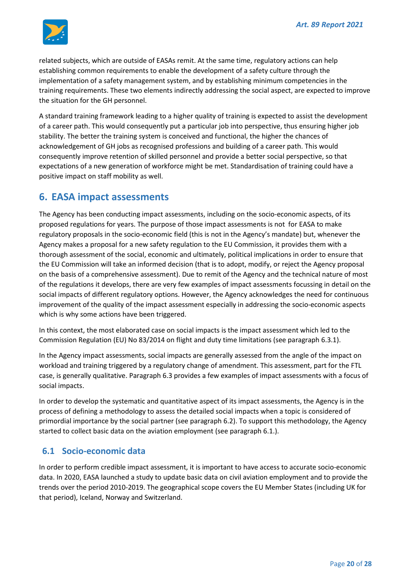

related subjects, which are outside of EASAs remit. At the same time, regulatory actions can help establishing common requirements to enable the development of a safety culture through the implementation of a safety management system, and by establishing minimum competencies in the training requirements. These two elements indirectly addressing the social aspect, are expected to improve the situation for the GH personnel.

A standard training framework leading to a higher quality of training is expected to assist the development of a career path. This would consequently put a particular job into perspective, thus ensuring higher job stability. The better the training system is conceived and functional, the higher the chances of acknowledgement of GH jobs as recognised professions and building of a career path. This would consequently improve retention of skilled personnel and provide a better social perspective, so that expectations of a new generation of workforce might be met. Standardisation of training could have a positive impact on staff mobility as well.

## <span id="page-19-0"></span>**6. EASA impact assessments**

The Agency has been conducting impact assessments, including on the socio-economic aspects, of its proposed regulations for years. The purpose of those impact assessments is not for EASA to make regulatory proposals in the socio-economic field (this is not in the Agency's mandate) but, whenever the Agency makes a proposal for a new safety regulation to the EU Commission, it provides them with a thorough assessment of the social, economic and ultimately, political implications in order to ensure that the EU Commission will take an informed decision (that is to adopt, modify, or reject the Agency proposal on the basis of a comprehensive assessment). Due to remit of the Agency and the technical nature of most of the regulations it develops, there are very few examples of impact assessments focussing in detail on the social impacts of different regulatory options. However, the Agency acknowledges the need for continuous improvement of the quality of the impact assessment especially in addressing the socio-economic aspects which is why some actions have been triggered.

In this context, the most elaborated case on social impacts is the impact assessment which led to the Commission Regulation (EU) No 83/2014 on flight and duty time limitations (see paragraph [6.3.1\)](#page-21-2).

In the Agency impact assessments, social impacts are generally assessed from the angle of the impact on workload and training triggered by a regulatory change of amendment. This assessment, part for the FTL case, is generally qualitative. Paragrap[h 6.3](#page-21-1) provides a few examples of impact assessments with a focus of social impacts.

In order to develop the systematic and quantitative aspect of its impact assessments, the Agency is in the process of defining a methodology to assess the detailed social impacts when a topic is considered of primordial importance by the social partner (see paragraph [6.2\)](#page-20-0). To support this methodology, the Agency started to collect basic data on the aviation employment (see paragrap[h 6.1.](#page-19-1)).

## <span id="page-19-1"></span>**6.1 Socio-economic data**

In order to perform credible impact assessment, it is important to have access to accurate socio-economic data. In 2020, EASA launched a study to update basic data on civil aviation employment and to provide the trends over the period 2010-2019. The geographical scope covers the EU Member States (including UK for that period), Iceland, Norway and Switzerland.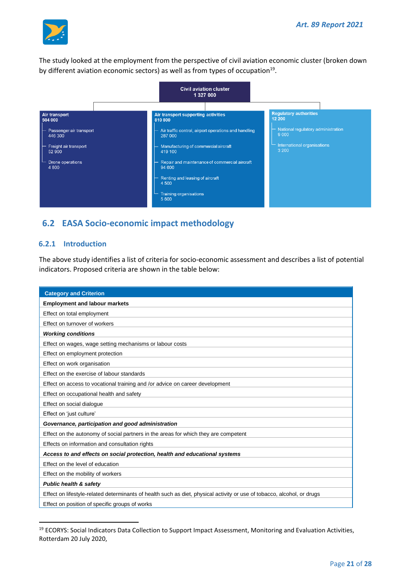

The study looked at the employment from the perspective of civil aviation economic cluster (broken down by different aviation economic sectors) as well as from types of occupation<sup>19</sup>.



## <span id="page-20-0"></span>**6.2 EASA Socio-economic impact methodology**

#### <span id="page-20-1"></span>**6.2.1 Introduction**

The above study identifies a list of criteria for socio-economic assessment and describes a list of potential indicators. Proposed criteria are shown in the table below:

| <b>Category and Criterion</b>                                                                                           |  |  |  |  |
|-------------------------------------------------------------------------------------------------------------------------|--|--|--|--|
| <b>Employment and labour markets</b>                                                                                    |  |  |  |  |
| Effect on total employment                                                                                              |  |  |  |  |
| Effect on turnover of workers                                                                                           |  |  |  |  |
| <b>Working conditions</b>                                                                                               |  |  |  |  |
| Effect on wages, wage setting mechanisms or labour costs                                                                |  |  |  |  |
| Effect on employment protection                                                                                         |  |  |  |  |
| Effect on work organisation                                                                                             |  |  |  |  |
| Effect on the exercise of labour standards                                                                              |  |  |  |  |
| Effect on access to vocational training and /or advice on career development                                            |  |  |  |  |
| Effect on occupational health and safety                                                                                |  |  |  |  |
| Effect on social dialogue                                                                                               |  |  |  |  |
| Effect on 'just culture'                                                                                                |  |  |  |  |
| Governance, participation and good administration                                                                       |  |  |  |  |
| Effect on the autonomy of social partners in the areas for which they are competent                                     |  |  |  |  |
| Effects on information and consultation rights                                                                          |  |  |  |  |
| Access to and effects on social protection, health and educational systems                                              |  |  |  |  |
| Effect on the level of education                                                                                        |  |  |  |  |
| Effect on the mobility of workers                                                                                       |  |  |  |  |
| <b>Public health &amp; safety</b>                                                                                       |  |  |  |  |
| Effect on lifestyle-related determinants of health such as diet, physical activity or use of tobacco, alcohol, or drugs |  |  |  |  |
| Effect on position of specific groups of works                                                                          |  |  |  |  |

<sup>&</sup>lt;sup>19</sup> ECORYS: Social Indicators Data Collection to Support Impact Assessment, Monitoring and Evaluation Activities, Rotterdam 20 July 2020,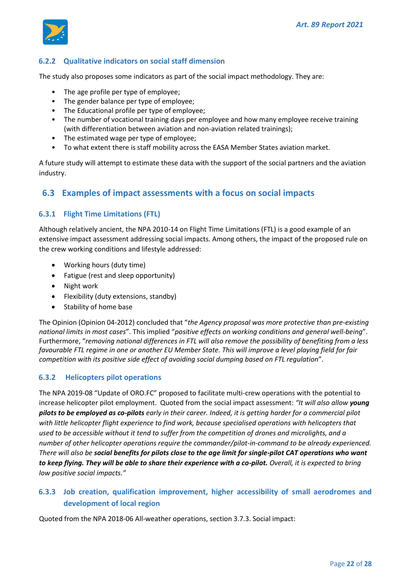

### <span id="page-21-0"></span>**6.2.2 Qualitative indicators on social staff dimension**

The study also proposes some indicators as part of the social impact methodology. They are:

- The age profile per type of employee;
- The gender balance per type of employee;
- The Educational profile per type of employee;
- The number of vocational training days per employee and how many employee receive training (with differentiation between aviation and non-aviation related trainings);
- The estimated wage per type of employee;
- To what extent there is staff mobility across the EASA Member States aviation market.

A future study will attempt to estimate these data with the support of the social partners and the aviation industry.

#### <span id="page-21-1"></span>**6.3 Examples of impact assessments with a focus on social impacts**

#### <span id="page-21-2"></span>**6.3.1 Flight Time Limitations (FTL)**

Although relatively ancient, the NPA 2010-14 on Flight Time Limitations (FTL) is a good example of an extensive impact assessment addressing social impacts. Among others, the impact of the proposed rule on the crew working conditions and lifestyle addressed:

- Working hours (duty time)
- Fatigue (rest and sleep opportunity)
- Night work
- Flexibility (duty extensions, standby)
- Stability of home base

The Opinion (Opinion 04-2012) concluded that "*the Agency proposal was more protective than pre-existing national limits in most cases*". This implied "*positive effects on working conditions and general well-being*". Furthermore, "*removing national differences in FTL will also remove the possibility of benefiting from a less favourable FTL regime in one or another EU Member State. This will improve a level playing field for fair competition with its positive side effect of avoiding social dumping based on FTL regulation*".

#### <span id="page-21-3"></span>**6.3.2 Helicopters pilot operations**

The NPA 2019-08 "Update of ORO.FC" proposed to facilitate multi-crew operations with the potential to increase helicopter pilot employment. Quoted from the social impact assessment: *"It will also allow young pilots to be employed as co-pilots early in their career. Indeed, it is getting harder for a commercial pilot with little helicopter flight experience to find work, because specialised operations with helicopters that used to be accessible without it tend to suffer from the competition of drones and microlights, and a number of other helicopter operations require the commander/pilot-in-command to be already experienced. There will also be social benefits for pilots close to the age limit for single-pilot CAT operations who want to keep flying. They will be able to share their experience with a co-pilot. Overall, it is expected to bring low positive social impacts."*

### <span id="page-21-4"></span>**6.3.3 Job creation, qualification improvement, higher accessibility of small aerodromes and development of local region**

Quoted from the NPA 2018-06 All-weather operations, section 3.7.3. Social impact: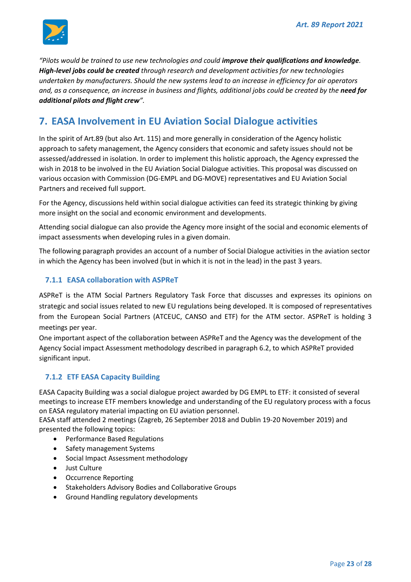

*"Pilots would be trained to use new technologies and could improve their qualifications and knowledge. High-level jobs could be created through research and development activities for new technologies undertaken by manufacturers. Should the new systems lead to an increase in efficiency for air operators*  and, as a consequence, an increase in business and flights, additional jobs could be created by the need for *additional pilots and flight crew".*

## <span id="page-22-0"></span>**7. EASA Involvement in EU Aviation Social Dialogue activities**

In the spirit of Art.89 (but also Art. 115) and more generally in consideration of the Agency holistic approach to safety management, the Agency considers that economic and safety issues should not be assessed/addressed in isolation. In order to implement this holistic approach, the Agency expressed the wish in 2018 to be involved in the EU Aviation Social Dialogue activities. This proposal was discussed on various occasion with Commission (DG-EMPL and DG-MOVE) representatives and EU Aviation Social Partners and received full support.

For the Agency, discussions held within social dialogue activities can feed its strategic thinking by giving more insight on the social and economic environment and developments.

Attending social dialogue can also provide the Agency more insight of the social and economic elements of impact assessments when developing rules in a given domain.

The following paragraph provides an account of a number of Social Dialogue activities in the aviation sector in which the Agency has been involved (but in which it is not in the lead) in the past 3 years.

#### <span id="page-22-1"></span>**7.1.1 EASA collaboration with ASPReT**

ASPReT is the ATM Social Partners Regulatory Task Force that discusses and expresses its opinions on strategic and social issues related to new EU regulations being developed. It is composed of representatives from the European Social Partners (ATCEUC, CANSO and ETF) for the ATM sector. ASPReT is holding 3 meetings per year.

One important aspect of the collaboration between ASPReT and the Agency was the development of the Agency Social impact Assessment methodology described in paragraph [6.2,](#page-20-0) to which ASPReT provided significant input.

#### <span id="page-22-2"></span>**7.1.2 ETF EASA Capacity Building**

EASA Capacity Building was a social dialogue project awarded by DG EMPL to ETF: it consisted of several meetings to increase ETF members knowledge and understanding of the EU regulatory process with a focus on EASA regulatory material impacting on EU aviation personnel.

EASA staff attended 2 meetings (Zagreb, 26 September 2018 and Dublin 19-20 November 2019) and presented the following topics:

- Performance Based Regulations
- Safety management Systems
- Social Impact Assessment methodology
- Just Culture
- Occurrence Reporting
- Stakeholders Advisory Bodies and Collaborative Groups
- Ground Handling regulatory developments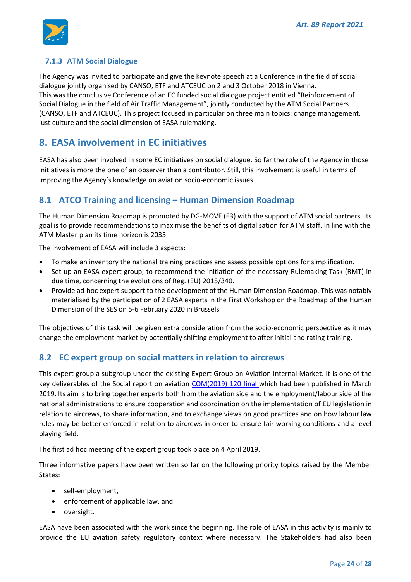

#### <span id="page-23-0"></span>**7.1.3 ATM Social Dialogue**

The Agency was invited to participate and give the keynote speech at a Conference in the field of social dialogue jointly organised by CANSO, ETF and ATCEUC on 2 and 3 October 2018 in Vienna. This was the conclusive Conference of an EC funded social dialogue project entitled "Reinforcement of Social Dialogue in the field of Air Traffic Management", jointly conducted by the ATM Social Partners (CANSO, ETF and ATCEUC). This project focused in particular on three main topics: change management, just culture and the social dimension of EASA rulemaking.

## <span id="page-23-1"></span>**8. EASA involvement in EC initiatives**

EASA has also been involved in some EC initiatives on social dialogue. So far the role of the Agency in those initiatives is more the one of an observer than a contributor. Still, this involvement is useful in terms of improving the Agency's knowledge on aviation socio-economic issues.

## <span id="page-23-2"></span>**8.1 ATCO Training and licensing – Human Dimension Roadmap**

The Human Dimension Roadmap is promoted by DG-MOVE (E3) with the support of ATM social partners. Its goal is to provide recommendations to maximise the benefits of digitalisation for ATM staff. In line with the ATM Master plan its time horizon is 2035.

The involvement of EASA will include 3 aspects:

- To make an inventory the national training practices and assess possible options for simplification.
- Set up an EASA expert group, to recommend the initiation of the necessary Rulemaking Task (RMT) in due time, concerning the evolutions of Reg. (EU) 2015/340.
- Provide ad-hoc expert support to the development of the Human Dimension Roadmap. This was notably materialised by the participation of 2 EASA experts in the First Workshop on the Roadmap of the Human Dimension of the SES on 5-6 February 2020 in Brussels

The objectives of this task will be given extra consideration from the socio-economic perspective as it may change the employment market by potentially shifting employment to after initial and rating training.

## <span id="page-23-3"></span>**8.2 EC expert group on social matters in relation to aircrews**

This expert group a subgroup under the existing Expert Group on Aviation Internal Market. It is one of the key deliverables of the Social report on aviation [COM\(2019\) 120 final](https://eur-lex.europa.eu/legal-content/EN/TXT/PDF/?uri=CELEX:52019DC0120&from=ES) which had been published in March 2019. Its aim is to bring together experts both from the aviation side and the employment/labour side of the national administrations to ensure cooperation and coordination on the implementation of EU legislation in relation to aircrews, to share information, and to exchange views on good practices and on how labour law rules may be better enforced in relation to aircrews in order to ensure fair working conditions and a level playing field.

The first ad hoc meeting of the expert group took place on 4 April 2019.

Three informative papers have been written so far on the following priority topics raised by the Member States:

- self-employment,
- enforcement of applicable law, and
- oversight.

EASA have been associated with the work since the beginning. The role of EASA in this activity is mainly to provide the EU aviation safety regulatory context where necessary. The Stakeholders had also been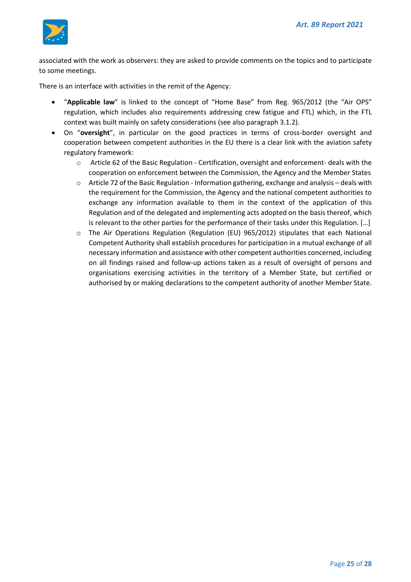

associated with the work as observers: they are asked to provide comments on the topics and to participate to some meetings.

There is an interface with activities in the remit of the Agency:

- "**Applicable law**" is linked to the concept of "Home Base" from Reg. 965/2012 (the "Air OPS" regulation, which includes also requirements addressing crew fatigue and FTL) which, in the FTL context was built mainly on safety considerations (see also paragrap[h 3.1.2\)](#page-7-3).
- On "**oversight**", in particular on the good practices in terms of cross-border oversight and cooperation between competent authorities in the EU there is a clear link with the aviation safety regulatory framework:
	- $\circ$  Article 62 of the Basic Regulation Certification, oversight and enforcement- deals with the cooperation on enforcement between the Commission, the Agency and the Member States
	- $\circ$  Article 72 of the Basic Regulation Information gathering, exchange and analysis deals with the requirement for the Commission, the Agency and the national competent authorities to exchange any information available to them in the context of the application of this Regulation and of the delegated and implementing acts adopted on the basis thereof, which is relevant to the other parties for the performance of their tasks under this Regulation. […]
	- $\circ$  The Air Operations Regulation (Regulation (EU) 965/2012) stipulates that each National Competent Authority shall establish procedures for participation in a mutual exchange of all necessary information and assistance with other competent authorities concerned, including on all findings raised and follow-up actions taken as a result of oversight of persons and organisations exercising activities in the territory of a Member State, but certified or authorised by or making declarations to the competent authority of another Member State.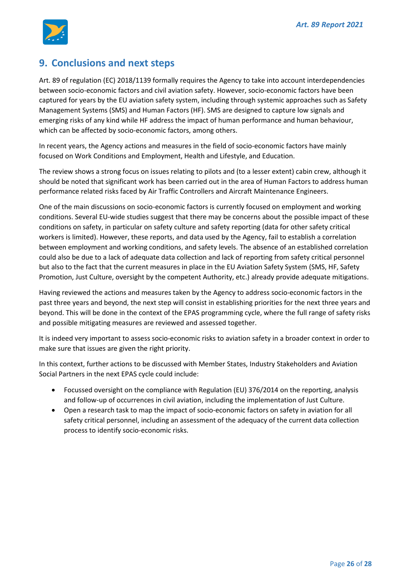

## <span id="page-25-0"></span>**9. Conclusions and next steps**

Art. 89 of regulation (EC) 2018/1139 formally requires the Agency to take into account interdependencies between socio-economic factors and civil aviation safety. However, socio-economic factors have been captured for years by the EU aviation safety system, including through systemic approaches such as Safety Management Systems (SMS) and Human Factors (HF). SMS are designed to capture low signals and emerging risks of any kind while HF address the impact of human performance and human behaviour, which can be affected by socio-economic factors, among others.

In recent years, the Agency actions and measures in the field of socio-economic factors have mainly focused on Work Conditions and Employment, Health and Lifestyle, and Education.

The review shows a strong focus on issues relating to pilots and (to a lesser extent) cabin crew, although it should be noted that significant work has been carried out in the area of Human Factors to address human performance related risks faced by Air Traffic Controllers and Aircraft Maintenance Engineers.

One of the main discussions on socio-economic factors is currently focused on employment and working conditions. Several EU-wide studies suggest that there may be concerns about the possible impact of these conditions on safety, in particular on safety culture and safety reporting (data for other safety critical workers is limited). However, these reports, and data used by the Agency, fail to establish a correlation between employment and working conditions, and safety levels. The absence of an established correlation could also be due to a lack of adequate data collection and lack of reporting from safety critical personnel but also to the fact that the current measures in place in the EU Aviation Safety System (SMS, HF, Safety Promotion, Just Culture, oversight by the competent Authority, etc.) already provide adequate mitigations.

Having reviewed the actions and measures taken by the Agency to address socio-economic factors in the past three years and beyond, the next step will consist in establishing priorities for the next three years and beyond. This will be done in the context of the EPAS programming cycle, where the full range of safety risks and possible mitigating measures are reviewed and assessed together.

It is indeed very important to assess socio-economic risks to aviation safety in a broader context in order to make sure that issues are given the right priority.

In this context, further actions to be discussed with Member States, Industry Stakeholders and Aviation Social Partners in the next EPAS cycle could include:

- Focussed oversight on the compliance with Regulation (EU) 376/2014 on the reporting, analysis and follow-up of occurrences in civil aviation, including the implementation of Just Culture.
- Open a research task to map the impact of socio-economic factors on safety in aviation for all safety critical personnel, including an assessment of the adequacy of the current data collection process to identify socio-economic risks.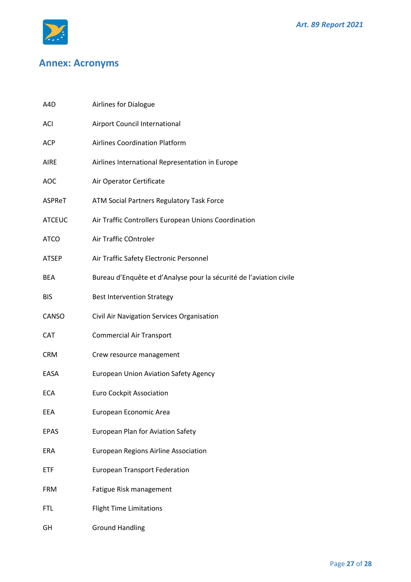

# <span id="page-26-0"></span>**Annex: Acronyms**

| A4D           | Airlines for Dialogue                                               |
|---------------|---------------------------------------------------------------------|
| ACI           | Airport Council International                                       |
| <b>ACP</b>    | <b>Airlines Coordination Platform</b>                               |
| <b>AIRE</b>   | Airlines International Representation in Europe                     |
| <b>AOC</b>    | Air Operator Certificate                                            |
| ASPReT        | ATM Social Partners Regulatory Task Force                           |
| <b>ATCEUC</b> | Air Traffic Controllers European Unions Coordination                |
| <b>ATCO</b>   | Air Traffic COntroler                                               |
| <b>ATSEP</b>  | Air Traffic Safety Electronic Personnel                             |
| <b>BEA</b>    | Bureau d'Enquête et d'Analyse pour la sécurité de l'aviation civile |
| <b>BIS</b>    | <b>Best Intervention Strategy</b>                                   |
| CANSO         | Civil Air Navigation Services Organisation                          |
| <b>CAT</b>    | <b>Commercial Air Transport</b>                                     |
| <b>CRM</b>    | Crew resource management                                            |
| EASA          | <b>European Union Aviation Safety Agency</b>                        |
| <b>ECA</b>    | <b>Euro Cockpit Association</b>                                     |
| EEA           | European Economic Area                                              |
| <b>EPAS</b>   | European Plan for Aviation Safety                                   |
| ERA           | European Regions Airline Association                                |
| <b>ETF</b>    | <b>European Transport Federation</b>                                |
| <b>FRM</b>    | Fatigue Risk management                                             |
| <b>FTL</b>    | <b>Flight Time Limitations</b>                                      |
| GH            | <b>Ground Handling</b>                                              |